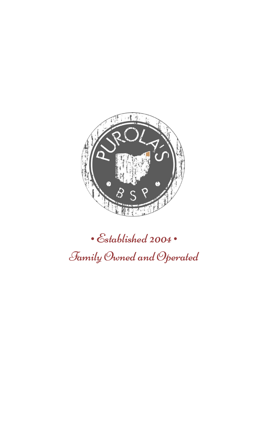

· Established 2004 · Family Owned and Operated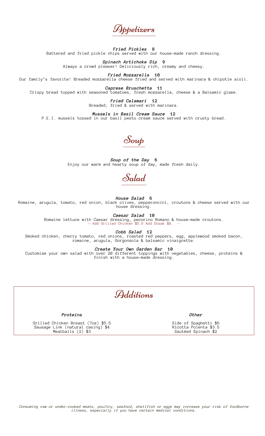Appetizers

*Fried Pickles* **8** Battered and fried pickle chips served with our house-made ranch dressing.

*Spinach Artichoke Dip* **9** Always a crowd pleaser! Deliciously rich, creamy and cheesy.

*Fried Mozzarella* **10** Our family's favorite! Breaded mozzarella cheese fried and served with marinara & chipotle aioli.

*Caprese Bruschetta* **11** Crispy bread topped with seasoned tomatoes, fresh mozzarella, cheese & a Balsamic glaze.

> *Fried Calamari* **12** Breaded, fried & served with marinara.

*Mussels in Basil Cream Sauce* **12** P.E.I. mussels tossed in our basil pesto cream sauce served with crusty bread.



*Soup of the Day* **6** Enjoy our warm and hearty soup of day, made fresh daily.

Salad

*House Salad* **6**

Romaine, arugula, tomato, red onion, black olives, pepperoncini, croutons & cheese served with our house dressing.

*Caesar Salad* **10**

Romaine lettuce with Caesar dressing, pecorino Romano & house-made croutons. — Add Grilled Chicken \$5.5 Add Steak \$8. —

*Cobb Salad* **12**

Smoked chicken, cherry tomato, red onions, roasted red peppers, egg, applewood smoked bacon, romaine, arugula, Gorgonzola & balsamic vinaigrette.

*Create Your Own Garden Bar* **10**

Customize your own salad with over 20 different toppings with vegetables, cheese, proteins & finish with a house-made dressing.



*Proteins*

Grilled Chicken Breast (7oz) \$5.5 Sausage Link (natural casing) \$4 Meatballs (2) \$3

*Other*

Side of Spaghetti \$6 Ricotta Polenta \$3.5 Sautéed Spinach \$2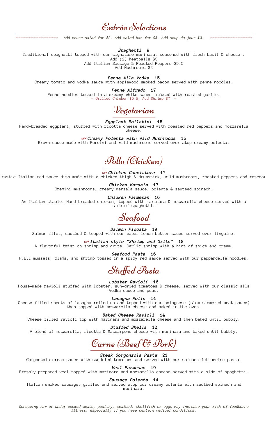## Entrée Selections

Add house salad for \$2. Add salad bar for \$3. Add soup du jour \$2.

*Spaghetti* **9**

Traditional spaghetti topped with our signature marinara, seasoned with fresh basil & cheese . Add (2) Meatballs \$3

Add Italian Sausage & Roasted Peppers \$5.5

Add Mushrooms \$2

*Penne Alla Vodka* **15**

Creamy tomato and vodka sauce with applewood smoked bacon served with penne noodles.

*Penne Alfredo* **17** Penne noodles tossed in a creamy white sauce infused with roasted garlic. — Grilled Chicken \$5.5, Add Shrimp \$7 —



*Eggplant Rollatini* **15**

Hand-breaded eggplant, stuffed with ricotta cheese served with roasted red peppers and mozzarella cheese.

C *Creamy Polenta with Wild Mushrooms* **15** Brown sauce made with Porcini and wild mushrooms served over atop creamy polenta.



C *Chicken Cacciatore* **17** rustic Italian red sauce dish made with a chicken thigh & drumstick, wild mushrooms, roasted peppers and rosemar

> *Chicken Marsala* **17** Cremini mushrooms, creamy marsala sauce, polenta & sautéed spinach.

*Chicken Parmesan* **16**

An Italian staple. Hand-breaded chicken, topped with marinara & mozzarella cheese served with a side of spaghetti.

Seafood

*Salmon Piccata* **19** Salmon filet, sautéed & topped with our caper lemon butter sauce served over linguine.

C *Italian style "Shrimp and Grits"* **18**

A flavorful twist on shrimp and grits. Garlic shrimp with a hint of spice and cream.

*Seafood Pasta* **16** P.E.I mussels, clams, and shrimp tossed in a spicy red sauce served with our pappardelle noodles.

Stuffed Pasta

*Lobster Ravioli* **16**

House-made ravioli stuffed with lobster, sun-dried tomatoes & cheese, served with our classic alla Vodka sauce and peas.

*Lasagna Rolls* **14**

Cheese-filled sheets of lasagna rolled up and topped with our bolognese (slow-simmered meat sauce) then topped with mozzarella cheese and baked in the oven.

*Baked Cheese Ravioli* **14**

Cheese filled ravioli top with marinara and mozzarella cheese and then baked until bubbly.

*Stuffed Shells* **12**

A blend of mozzarella, ricotta & Mascarpone cheese with marinara and baked until bubbly.

# Carne (Beef & Pork)

*Steak Gorgonzola Pasta* **21**

Gorgonzola cream sauce with sundried tomatoes and served with our spinach fettuccine pasta.

*Veal Parmesan* **19**

Freshly prepared veal topped with marinara and mozzarella cheese served with a side of spaghetti.

*Sausage Polenta* **14**

Italian smoked sausage, grilled and served atop our creamy polenta with sautéed spinach and marinara.

*Consuming raw or under-cooked meats, poultry, seafood, shellfish or eggs may increase your risk of foodborne illness, especially if you have certain medical conditions.*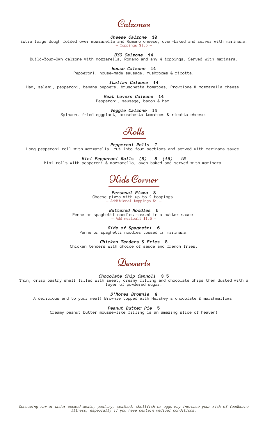Calzones

*Cheese Calzone* **10**

Extra large dough folded over mozzarella and Romano cheese, oven-baked and server with marinara.  $-$  Toppings  $$1.5 -$ 

*BYO Calzone* **14**

Build-Your-Own calzone with mozzarella, Romano and any 4 toppings. Served with marinara.

*House Calzone* **14** Pepperoni, house-made sausage, mushrooms & ricotta.

*Italian Calzone* **14** Ham, salami, pepperoni, banana peppers, bruschetta tomatoes, Provolone & mozzarella cheese.

> *Meat Lovers Calzone* **14** Pepperoni, sausage, bacon & ham.

*Veggie Calzone* **14** Spinach, fried eggplant, bruschetta tomatoes & ricotta cheese.

Rolls

*Pepperoni Rolls* **7** Long pepperoni roll with mozzarella, cut into four sections and served with marinara sauce.

*Mini Pepperoni Rolls (8) - 8 (16) - 15* Mini rolls with pepperoni & mozzarella, oven-baked and served with marinara.

Kids Corner

*Personal Pizza* **8** Cheese pizza with up to 2 toppings. — Additional toppings \$1 —

*Buttered Noodles* **6** Penne or spaghetti noodles tossed in a butter sauce.  $-$  Add meatball  $$1.5 -$ 

*Side of Spaghetti* **6** Penne or spaghetti noodles tossed in marinara.

*Chicken Tenders & Fries* **8** Chicken tenders with choice of sauce and french fries.

Desserts

*Chocolate Chip Cannoli* **3.5** Thin, crisp pastry shell filled with sweet, creamy filling and chocolate chips then dusted with a layer of powdered sugar.

*S'Mores Brownie* **4**

A delicious end to your meal! Brownie topped with Hershey's chocolate & marshmallows.

*Peanut Butter Pie* **5**

Creamy peanut butter mousse-like filling is an amazing slice of heaven!